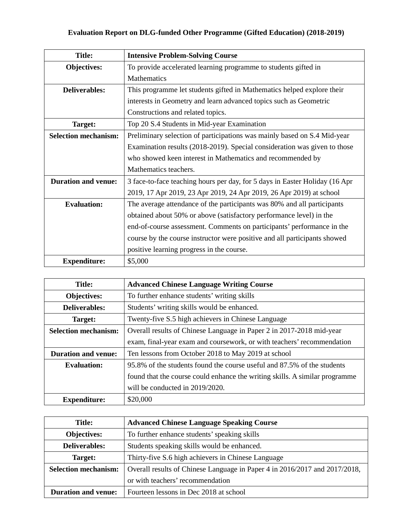| <b>Title:</b>               | <b>Intensive Problem-Solving Course</b>                                      |
|-----------------------------|------------------------------------------------------------------------------|
| <b>Objectives:</b>          | To provide accelerated learning programme to students gifted in              |
|                             | Mathematics                                                                  |
| <b>Deliverables:</b>        | This programme let students gifted in Mathematics helped explore their       |
|                             | interests in Geometry and learn advanced topics such as Geometric            |
|                             | Constructions and related topics.                                            |
| Target:                     | Top 20 S.4 Students in Mid-year Examination                                  |
| <b>Selection mechanism:</b> | Preliminary selection of participations was mainly based on S.4 Mid-year     |
|                             | Examination results (2018-2019). Special consideration was given to those    |
|                             | who showed keen interest in Mathematics and recommended by                   |
|                             | Mathematics teachers.                                                        |
| <b>Duration and venue:</b>  | 3 face-to-face teaching hours per day, for 5 days in Easter Holiday (16 Apr) |
|                             | 2019, 17 Apr 2019, 23 Apr 2019, 24 Apr 2019, 26 Apr 2019) at school          |
| <b>Evaluation:</b>          | The average attendance of the participants was 80% and all participants      |
|                             | obtained about 50% or above (satisfactory performance level) in the          |
|                             | end-of-course assessment. Comments on participants' performance in the       |
|                             | course by the course instructor were positive and all participants showed    |
|                             | positive learning progress in the course.                                    |
| <b>Expenditure:</b>         | \$5,000                                                                      |

| <b>Title:</b>               | <b>Advanced Chinese Language Writing Course</b>                             |
|-----------------------------|-----------------------------------------------------------------------------|
| Objectives:                 | To further enhance students' writing skills                                 |
| <b>Deliverables:</b>        | Students' writing skills would be enhanced.                                 |
| Target:                     | Twenty-five S.5 high achievers in Chinese Language                          |
| <b>Selection mechanism:</b> | Overall results of Chinese Language in Paper 2 in 2017-2018 mid-year        |
|                             | exam, final-year exam and coursework, or with teachers' recommendation      |
| <b>Duration and venue:</b>  | Ten lessons from October 2018 to May 2019 at school                         |
| <b>Evaluation:</b>          | 95.8% of the students found the course useful and 87.5% of the students     |
|                             | found that the course could enhance the writing skills. A similar programme |
|                             | will be conducted in 2019/2020.                                             |
| <b>Expenditure:</b>         | \$20,000                                                                    |

| <b>Title:</b>               | <b>Advanced Chinese Language Speaking Course</b>                           |
|-----------------------------|----------------------------------------------------------------------------|
| Objectives:                 | To further enhance students' speaking skills                               |
| <b>Deliverables:</b>        | Students speaking skills would be enhanced.                                |
| Target:                     | Thirty-five S.6 high achievers in Chinese Language                         |
| <b>Selection mechanism:</b> | Overall results of Chinese Language in Paper 4 in 2016/2017 and 2017/2018, |
|                             | or with teachers' recommendation                                           |
| <b>Duration and venue:</b>  | Fourteen lessons in Dec 2018 at school                                     |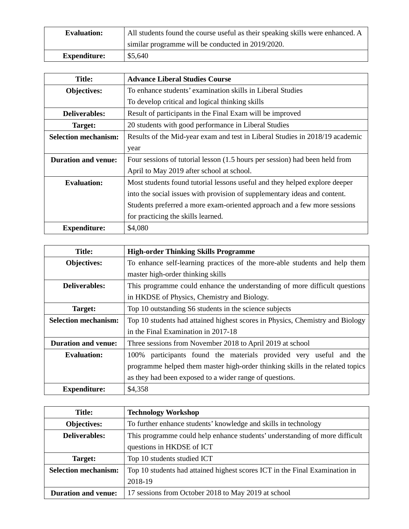| <b>Evaluation:</b>  | All students found the course useful as their speaking skills were enhanced. A |
|---------------------|--------------------------------------------------------------------------------|
|                     | similar programme will be conducted in 2019/2020.                              |
| <b>Expenditure:</b> | \$5,640                                                                        |

| <b>Title:</b>               | <b>Advance Liberal Studies Course</b>                                        |
|-----------------------------|------------------------------------------------------------------------------|
| Objectives:                 | To enhance students' examination skills in Liberal Studies                   |
|                             | To develop critical and logical thinking skills                              |
| Deliverables:               | Result of participants in the Final Exam will be improved                    |
| Target:                     | 20 students with good performance in Liberal Studies                         |
| <b>Selection mechanism:</b> | Results of the Mid-year exam and test in Liberal Studies in 2018/19 academic |
|                             | year                                                                         |
| <b>Duration and venue:</b>  | Four sessions of tutorial lesson (1.5 hours per session) had been held from  |
|                             | April to May 2019 after school at school.                                    |
| <b>Evaluation:</b>          | Most students found tutorial lessons useful and they helped explore deeper   |
|                             | into the social issues with provision of supplementary ideas and content.    |
|                             | Students preferred a more exam-oriented approach and a few more sessions     |
|                             | for practicing the skills learned.                                           |
| <b>Expenditure:</b>         | \$4,080                                                                      |

| Title:                      | <b>High-order Thinking Skills Programme</b>                                   |
|-----------------------------|-------------------------------------------------------------------------------|
| <b>Objectives:</b>          | To enhance self-learning practices of the more-able students and help them    |
|                             | master high-order thinking skills                                             |
| <b>Deliverables:</b>        | This programme could enhance the understanding of more difficult questions    |
|                             | in HKDSE of Physics, Chemistry and Biology.                                   |
| Target:                     | Top 10 outstanding S6 students in the science subjects                        |
| <b>Selection mechanism:</b> | Top 10 students had attained highest scores in Physics, Chemistry and Biology |
|                             | in the Final Examination in 2017-18                                           |
| <b>Duration and venue:</b>  | Three sessions from November 2018 to April 2019 at school                     |
| <b>Evaluation:</b>          | participants found the materials provided very useful and the<br>100%         |
|                             | programme helped them master high-order thinking skills in the related topics |
|                             | as they had been exposed to a wider range of questions.                       |
| <b>Expenditure:</b>         | \$4,358                                                                       |

| <b>Title:</b>               | <b>Technology Workshop</b>                                                  |
|-----------------------------|-----------------------------------------------------------------------------|
| Objectives:                 | To further enhance students' knowledge and skills in technology             |
| <b>Deliverables:</b>        | This programme could help enhance students' understanding of more difficult |
|                             | questions in HKDSE of ICT                                                   |
| Target:                     | Top 10 students studied ICT                                                 |
| <b>Selection mechanism:</b> | Top 10 students had attained highest scores ICT in the Final Examination in |
|                             | 2018-19                                                                     |
| <b>Duration and venue:</b>  | 17 sessions from October 2018 to May 2019 at school                         |